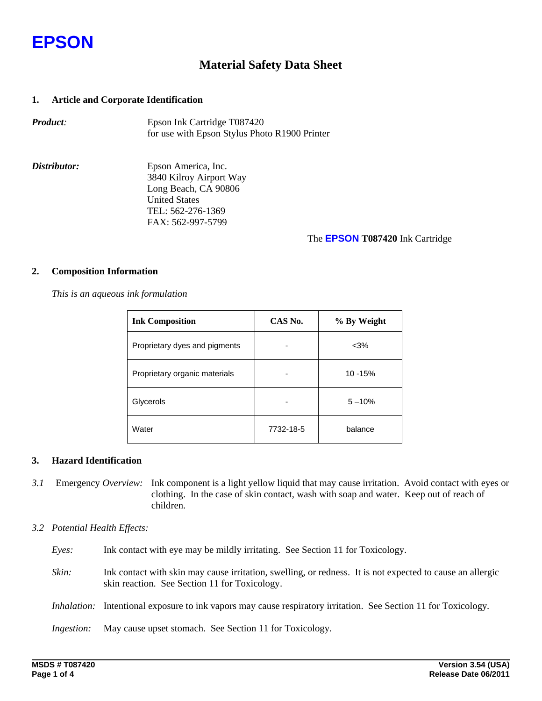

## **Material Safety Data Sheet**

## **1. Article and Corporate Identification**

| <b>Product:</b> | Epson Ink Cartridge T087420                   |
|-----------------|-----------------------------------------------|
|                 | for use with Epson Stylus Photo R1900 Printer |

*Distributor:* Epson America, Inc. 3840 Kilroy Airport Way Long Beach, CA 90806 United States TEL: 562-276-1369 FAX: 562-997-5799

### The **EPSON T087420** Ink Cartridge

### **2. Composition Information**

 *This is an aqueous ink formulation* 

| <b>Ink Composition</b>        | CAS No.   | % By Weight |  |
|-------------------------------|-----------|-------------|--|
| Proprietary dyes and pigments |           | $<$ 3%      |  |
| Proprietary organic materials |           | 10 - 15%    |  |
| Glycerols                     |           | $5 - 10%$   |  |
| Water                         | 7732-18-5 | balance     |  |

## **3. Hazard Identification**

*3.1* Emergency *Overview:* Ink component is a light yellow liquid that may cause irritation. Avoid contact with eyes or clothing. In the case of skin contact, wash with soap and water. Keep out of reach of children.

## *3.2 Potential Health Effects:*

- *Eyes:* Ink contact with eye may be mildly irritating. See Section 11 for Toxicology.
- *Skin:* Ink contact with skin may cause irritation, swelling, or redness. It is not expected to cause an allergic skin reaction. See Section 11 for Toxicology.
- *Inhalation:* Intentional exposure to ink vapors may cause respiratory irritation. See Section 11 for Toxicology*.*

*Ingestion:* May cause upset stomach. See Section 11 for Toxicology*.*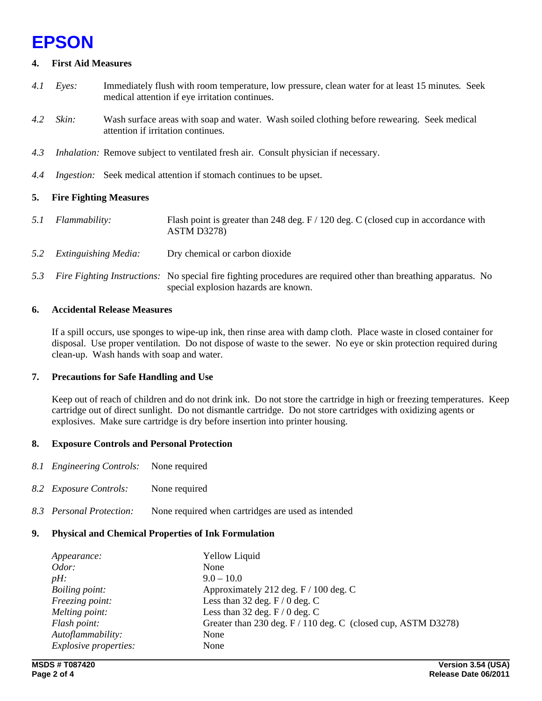## **EPSON**

## **4. First Aid Measures**

- *4.1 Eyes:* Immediately flush with room temperature, low pressure, clean water for at least 15 minutes*.* Seek medical attention if eye irritation continues.
- *4.2 Skin:* Wash surface areas with soap and water. Wash soiled clothing before rewearing. Seek medical attention if irritation continues.
- *4.3 Inhalation:* Remove subject to ventilated fresh air. Consult physician if necessary.
- *4.4 Ingestion:* Seek medical attention if stomach continues to be upset.

## **5. Fire Fighting Measures**

- *5.1 Flammability:* Flash point is greater than 248 deg. F / 120 deg. C (closed cup in accordance with ASTM D3278)
- *5.2 Extinguishing Media:* Dry chemical or carbon dioxide
- *5.3 Fire Fighting Instructions:* No special fire fighting procedures are required other than breathing apparatus. No special explosion hazards are known.

## **6. Accidental Release Measures**

If a spill occurs, use sponges to wipe-up ink, then rinse area with damp cloth. Place waste in closed container for disposal. Use proper ventilation. Do not dispose of waste to the sewer. No eye or skin protection required during clean-up. Wash hands with soap and water.

## **7. Precautions for Safe Handling and Use**

Keep out of reach of children and do not drink ink. Do not store the cartridge in high or freezing temperatures. Keep cartridge out of direct sunlight. Do not dismantle cartridge. Do not store cartridges with oxidizing agents or explosives. Make sure cartridge is dry before insertion into printer housing.

## **8. Exposure Controls and Personal Protection**

- *8.1 Engineering Controls:* None required
- *8.2 Exposure Controls:* None required
- *8.3 Personal Protection:* None required when cartridges are used as intended

## **9. Physical and Chemical Properties of Ink Formulation**

| Appearance:                  | <b>Yellow Liquid</b>                                          |
|------------------------------|---------------------------------------------------------------|
| Odor:                        | None                                                          |
| $pH$ :                       | $9.0 - 10.0$                                                  |
| Boiling point:               | Approximately 212 deg. F / 100 deg. C                         |
| Freezing point:              | Less than 32 deg. $F / 0$ deg. C                              |
| Melting point:               | Less than 32 deg. $F/0$ deg. C                                |
| Flash point:                 | Greater than 230 deg. F / 110 deg. C (closed cup, ASTM D3278) |
| Autoflammability:            | None                                                          |
| <i>Explosive properties:</i> | None                                                          |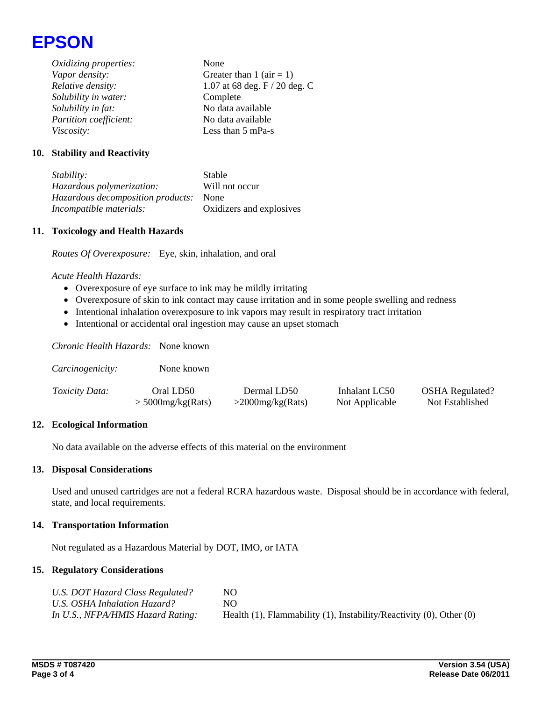

*Oxidizing properties:* None *Vapor density:* Greater than 1 (air = 1) *Relative density:* 1.07 at 68 deg. F / 20 deg. C *Solubility in water:* Complete *Solubility in fat:* No data available *Partition coefficient:* No data available *Viscosity:* Less than 5 mPa-s

## **10. Stability and Reactivity**

*Stability:* Stable *Hazardous polymerization:* Will not occur *Hazardous decomposition products:* None *Incompatible materials:* Oxidizers and explosives

#### **11. Toxicology and Health Hazards**

*Routes Of Overexposure:* Eye, skin, inhalation, and oral

#### *Acute Health Hazards:*

- Overexposure of eye surface to ink may be mildly irritating
- Overexposure of skin to ink contact may cause irritation and in some people swelling and redness
- Intentional inhalation overexposure to ink vapors may result in respiratory tract irritation
- Intentional or accidental oral ingestion may cause an upset stomach

*Chronic Health Hazards:* None known

| Carcinogenicity:      | None known          |                     |                |                        |
|-----------------------|---------------------|---------------------|----------------|------------------------|
| <i>Toxicity Data:</i> | Oral LD50           | Dermal LD50         | Inhalant LC50  | <b>OSHA</b> Regulated? |
|                       | $>$ 5000mg/kg(Rats) | $>$ 2000mg/kg(Rats) | Not Applicable | Not Established        |

#### **12. Ecological Information**

No data available on the adverse effects of this material on the environment

#### **13. Disposal Considerations**

Used and unused cartridges are not a federal RCRA hazardous waste. Disposal should be in accordance with federal, state, and local requirements.

#### **14. Transportation Information**

Not regulated as a Hazardous Material by DOT, IMO, or IATA

#### **15. Regulatory Considerations**

| U.S. DOT Hazard Class Regulated?  | NO.                                                                            |
|-----------------------------------|--------------------------------------------------------------------------------|
| U.S. OSHA Inhalation Hazard?      | NO.                                                                            |
| In U.S., NFPA/HMIS Hazard Rating: | Health $(1)$ , Flammability $(1)$ , Instability/Reactivity $(0)$ , Other $(0)$ |